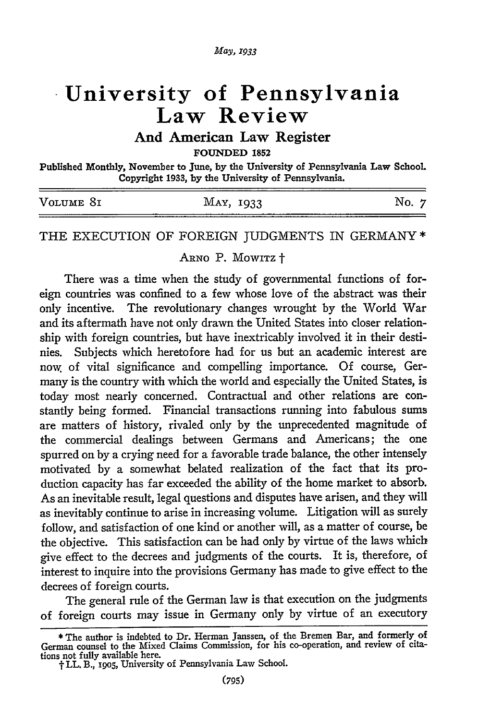# **University of Pennsylvania Law Review**

## **And American Law Register**

**FOUNDED 1852**

Published Monthly, November to June, **by** the University of Pennsylvania Law School. Copyright **1933, by** the University of Pennsylvania.

| _____     |           |          |
|-----------|-----------|----------|
| VOLUME 81 | MAY, 1933 | ิฬ∩<br>. |
|           |           |          |

#### THE EXECUTION OF FOREIGN JUDGMENTS IN GERMANY *\**

ARNO P. MOWITZ +

There was a time when the study of governmental functions of foreign countries was confined to a few whose love of the abstract was their only incentive. The revolutionary changes wrought by the World War and its aftermath have not only drawn the United States into closer relationship with foreign countries, but have inextricably involved it in their destinies. Subjects which heretofore had for us but an academic interest are now. of vital significance and compelling importance. **Of** course, Germany is the country with which the world and especially the United States, is today most nearly concerned. Contractual and other relations are constantly being formed. Financial transactions running into fabulous sums are matters of history, rivaled only by the unprecedented magnitude of the commercial dealings between Germans and Americans; the one spurred on by a crying need for a favorable trade balance, the other intensely motivated by a somewhat belated realization of the fact that its production capacity has far exceeded the ability of the home market to absorb. As an inevitable result, legal questions and disputes have arisen, and they will as inevitably continue to arise in increasing volume. Litigation will as surely follow, and satisfaction of one kind or another will, as a matter of course, be the objective. This satisfaction can be had only by virtue of the laws which give effect to the decrees and judgments of the courts. It is, therefore, of interest to inquire into the provisions Germany has made to give effect to the decrees of foreign courts.

The general rule of the German law is that execution on the judgments of foreign courts may issue in Germany only by virtue of an executory

**<sup>\*</sup>** The author is indebted to Dr. Herman Janssen, of the Bremen Bar, and formerly of German counsel to the Mixed Claims Commission, for his co-operation, and review of citations not fully available here.

t LL. B., **s9o5,** University of Pennsylvania Law School.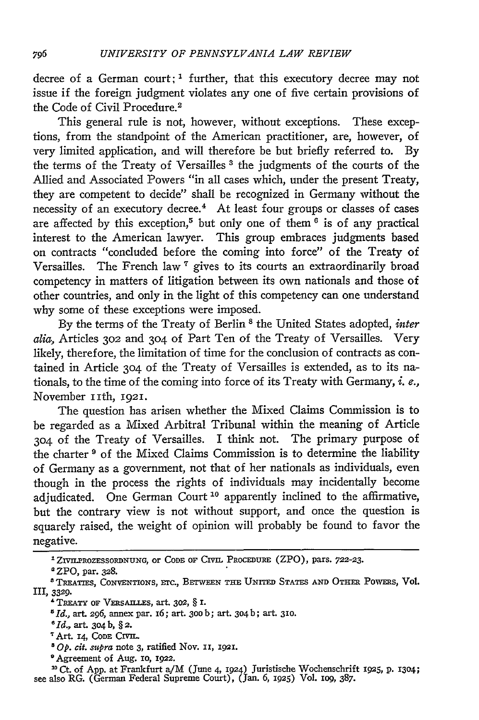decree of a German court; **1** further, that this executory decree may not issue if the foreign judgment violates any one of five certain provisions of the Code of Civil Procedure.<sup>2</sup>

This general rule is not, however, without exceptions. These exceptions, from the standpoint of the American practitioner, are, however, of very limited application, and will therefore be but briefly referred to. By the terms of the Treaty of Versailles **3** the judgments of the courts of the Allied and Associated Powers "in all cases which, under the present Treaty, they are competent to decide" shall be recognized in Germany without the necessity of an executory decree.<sup>4</sup> At least four groups or classes of cases are affected by this exception,5 but only one of them **6** is of any practical interest to the American lawyer. This group embraces judgments based on contracts "concluded before the coming into force" of the Treaty of Versailles. The French law **'** gives to its courts an extraordinarily broad competency in matters of litigation between its own nationals and those of other countries, and only in the light of this competency can one understand why some of these exceptions were imposed.

By the terms of the Treaty of Berlin 8 the United States adopted, *inter alia,* Articles **302** and 304 of Part Ten of the Treaty of Versailles. Very likely, therefore, the limitation of time for the conclusion of contracts as contained in Article 304 of the Treaty of Versailles is extended, as to its nationals, to the time of the coming into force of its Treaty with Germany, *i. e.,* November iith, **1921.**

The question has arisen whether the Mixed Claims Commission is to be regarded as a Mixed Arbitral Tribunal within the meaning of Article 304 of the Treaty of Versailles. I think not. The primary purpose of the charter **9** of the Mixed Claims Commission is to determine the liability of Germany as a government, not that of her nationals as individuals, even though in the process the rights of individuals may incidentally become adjudicated. One German Court **10** apparently inclined to the affirmative, but the contrary view is not without support, and once the question is squarely raised, the weight of opinion will probably be found to favor the negative.

Art. r4, CODE CIVIL.

0Agreement of Aug. **1o, 1922.**

**20** *Ct.* of App. at Frankfurt a/M (June 4, **1924)** Juristische Wochenschrift **1925, P. 1304;** see also RG. (German Federal Supreme Court), (Jan. 6, 1925) Vol. 109, 387.

**<sup>&#</sup>x27;ZIVILPROZESSORDNUNG, or CODE OF** CIVIL **PROCEDURE** (ZPO), **pars. 722-23.**

ZPO, par. **328.**

TREATIES, CONVENTIONS, **Erc.,** BTWVEEN **THE** UNITED **STATES AND** OTHER POWERS, Vol. **llI,** 3329.

<sup>&#</sup>x27;TREATY OF **VERsAI.LEs,** art. **302,** § **I.**

*<sup>51</sup>d.,* art. **296,** annex par. I6; art. **3oob;** art. 304b; art. **310.**

*<sup>8</sup> Id.,* art. 304b, **§2.**

*Op.* cit. *mtpra* note 3, ratified Nov. **Ii, 1921.**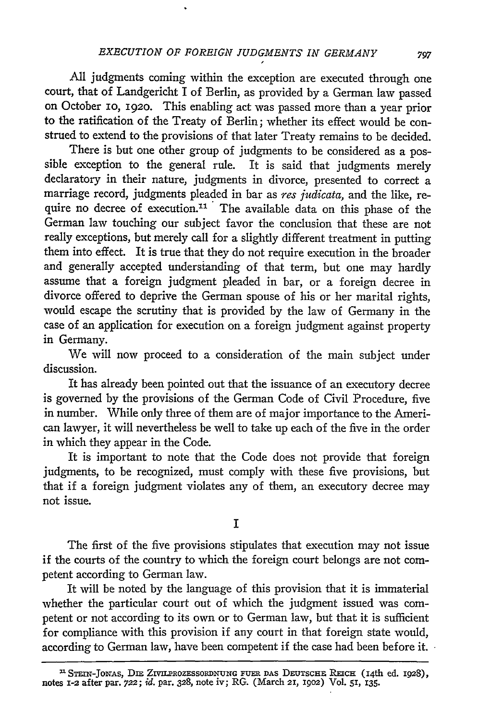All judgments coming within the exception are executed through one court, that of Landgericht I of Berlin, as provided by a German law passed on October io, 192o. This enabling act was passed more than a year prior to the ratification of the Treaty of Berlin; whether its effect would be construed to extend to the provisions of that later Treaty remains to be decided.

There is but one other group of judgments to be considered as a possible exception to the general rule. It is said that judgments merely declaratory in their nature, judgments in divorce, presented to correct a marriage record, judgments pleaded in bar as *res judicata,* and the like, require no decree of execution.<sup>11</sup> The available data on this phase of the German law touching our subject favor the conclusion that these are not really exceptions, but merely call for a slightly different treatment in putting them into effect. It is true that they do not require execution in the broader and generally accepted understanding of that term, but one may hardly assume that a foreign judgment pleaded in bar, or a foreign decree in divorce offered to deprive the German spouse of his or her marital rights, would escape the scrutiny that is provided by the law of Germany in the case of an application for execution on a foreign judgment against property in Germany.

We will now proceed to a consideration of the main subject under discussion.

It has already been pointed out that the issuance of an executory decree is governed by the provisions of the German Code of Civil Procedure, five in number. While only three of them are of major importance to the American lawyer, it will nevertheless be well to take up each of the five in the order in which they appear in the Code.

It is important to note that the Code does not provide that foreign judgments, to be recognized, must comply with these five provisions, but that if a foreign judgment violates any of them, an executory decree may not issue.

**I**

The first of the five provisions stipulates that execution may not issue if the courts of the country to which the foreign court belongs are not competent according to German law.

It will be noted by the language of this provision that it is immaterial whether the particular court out of which the judgment issued was competent or not according to its own or to German law, but that it is sufficient for compliance with this provision if any court in that foreign state would, according to German law, have been competent if the case had been before it.

<sup>&</sup>lt;sup>11</sup> STEIN-JONAS, DIE ZIVILEROZESSORDNUNG FUER DAS DEUTSCHE REICH (14th ed. 1928)<br>notes 1-2 after par. 722; *id.* par. 328, note iv; RG. (March 21, 1902) Vol. 51, 135.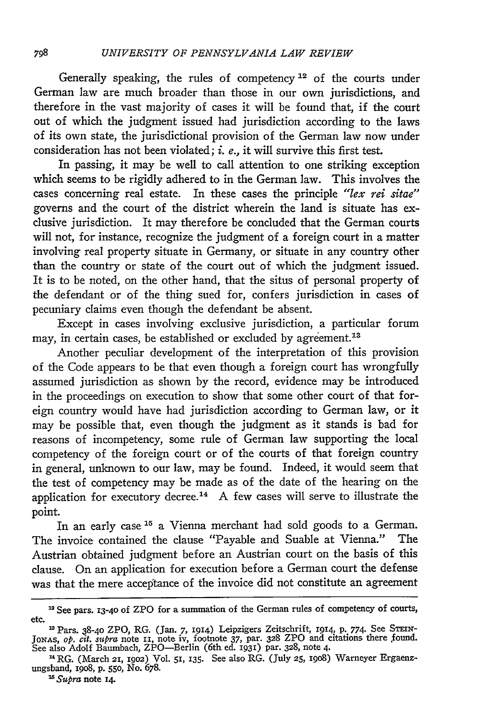Generally speaking, the rules of competency 12 of the courts under German law are much broader than those in our own jurisdictions, and therefore in the vast majority of cases it will be found that, if the court out of which the judgment issued had jurisdiction according to the laws of its own state, the jurisdictional provision of the German law now under consideration has not been violated; i. *e.,* it will survive this first test.

In passing, it may be well to call attention to one striking exception which seems to be rigidly adhered to in the German law. This involves the cases concerning real estate. In these cases the principle *"lex rei sitae"* governs and the court of the district wherein the land is situate has exclusive jurisdiction. It may therefore be concluded that the German courts will not, for instance, recognize the judgment of a foreign court in a matter involving real property situate in Germany, or situate in any country other than the country or state of the court out of which the judgment issued. It is to be noted, on the other hand, that the situs of personal property of the defendant or of the thing sued for, confers jurisdiction in cases of pecuniary claims even though the defendant be absent.

Except in cases involving exclusive jurisdiction, a particular forum may, in certain cases, be established or excluded by agreement.<sup>13</sup>

Another peculiar development of the interpretation of this provision of the Code appears to be that even though a foreign court has wrongfully assumed jurisdiction as shown by the record, evidence may be introduced in the proceedings on execution to show that some other court of that foreign country would have had jurisdiction according to German law, or it may be possible that, even though the judgment as it stands is bad for reasons of incompetency, some rule of German law supporting the local competency of the foreign court or of the courts of that foreign country in general, unknown to our law, may be found. Indeed, it would seem that the test of competency may be made as of the date of the hearing on the application for executory decree.<sup>14</sup> A few cases will serve to illustrate the point.

In an early case **'5** a Vienna merchant had sold goods to a German. The invoice contained the clause "Payable and Suable at Vienna." The Austrian obtained judgment before an Austrian court on the basis of this clause. On an application for execution before a German court the defense was that the mere acceptance of the invoice did not constitute an agreement

<sup>&</sup>lt;sup>12</sup> See pars. 13-40 of ZPO for a summation of the German rules of competency of courts, etc.

<sup>&</sup>lt;sup>28</sup> Pars. 38-40 ZPO, RG. (Jan. 7, 1914) Leipzigers Zeitschrift, 1914, p. 774. See Stenv-JonAs, *op. cit. supra* note **11**, note iv, footnote 37, par. 328 ZPO and citations there found.<br>See also Adolf Baumbach, ZPO—Berlin (6th ed. 1931) par. 328, note 4.

**<sup>14</sup>** RG. (March 21, 1902) Vol. 51, 135. See also RG. (July **25, 198o)** Warneyer Ergaenzungsband, 19o8, p. 55o, No. 678.

*<sup>25</sup> Supra* note 14.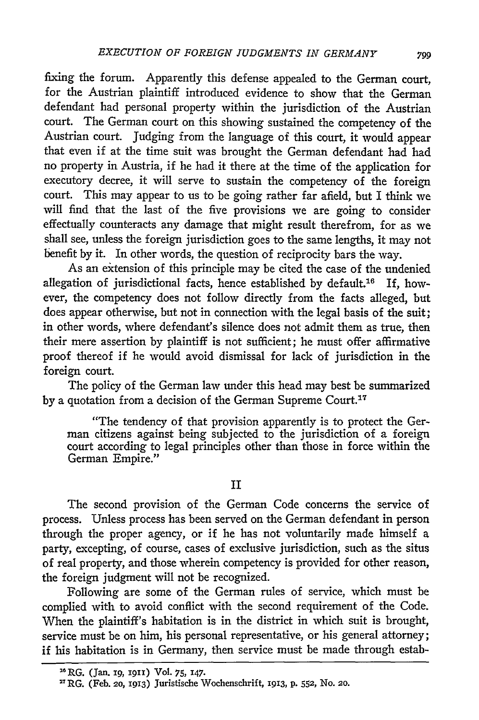fixing the forum. Apparently this defense appealed to the German court, for the Austrian plaintiff introduced evidence to show that the German defendant had personal property within the jurisdiction of the Austrian court. The German court on this showing sustained the competency of the Austrian court. judging from the language of this court, it would appear that even if at the time suit was brought the German defendant had had no property in Austria, if he had it there at the time of the application for executory decree, it will serve to sustain the competency of the foreign court. This may appear to us to be going rather far afield, but I think we will find that the last of the five provisions we are going to consider effectually counteracts any damage that might result therefrom, for as we shall see, unless the foreign jurisdiction goes to the same lengths, it may not benefit by it. In other words, the question of reciprocity bars the way.

As an extension of this principle may be cited the case of the undenied allegation of jurisdictional facts, hence established by default.<sup>16</sup> If, however, the competency does not follow directly from the facts alleged, but does appear otherwise, but not in connection with the legal basis of the suit; in other words, where defendant's silence does not admit them as true, then their mere assertion by plaintiff is not sufficient; he must offer affirmative proof thereof if he would avoid dismissal for lack of jurisdiction in the foreign court.

The policy of the German law under this head may best be summarized by a quotation from a decision of the German Supreme Court.<sup>17</sup>

"The tendency of that provision apparently is to protect the German citizens against being subjected to the jurisdiction of a foreign court according to legal principles other than those in force within the German Empire."

## II

The second provision of the German Code concerns the service of process. Unless process has been served on the German defendant in person through the proper agency, or if he has not voluntarily made himself a party, excepting, of course, cases of exclusive jurisdiction, such as the situs of real property, and those wherein competency is provided for other reason, the foreign judgment will not be recognized.

Following are some of the German rules of service, which must be complied with to avoid conflict with the second requirement of the Code. When the plaintiff's habitation is in the district in which suit is brought, service must be on him, his personal representative, or his general attorney; if his habitation is in Germany, then service must be made through estab-

**<sup>&</sup>quot;** RG. (Jan. **ig,** 1911) Vol. **75, 147.**

<sup>&</sup>quot;RG. (Feb. **20, 1913)** Juristische Wochenschrift, **1913, P. 552,** No. **20.**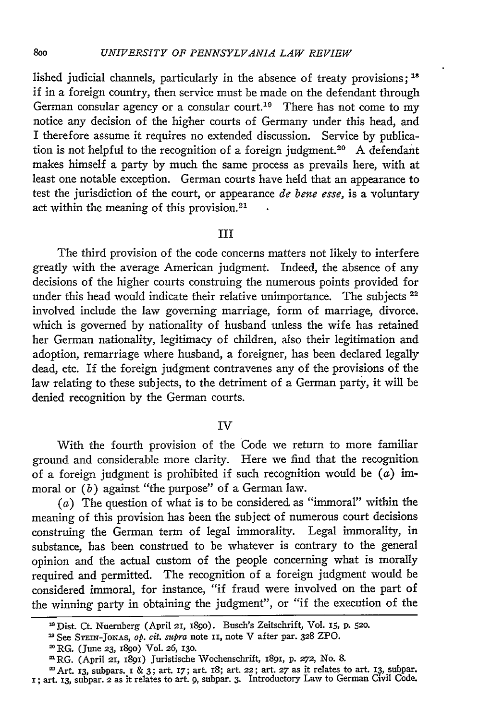lished judicial channels, particularly in the absence of treaty provisions; **"** if in a foreign country, then service must be made on the defendant through German consular agency or a consular court.<sup>19</sup> There has not come to my notice any decision of the higher courts of Germany under this head, and I therefore assume it requires no extended discussion. Service by publication is not helpful to the recognition of a foreign judgment.<sup>20</sup> A defendant makes himself a party by much the same process as prevails here, with at least one notable exception. German courts have held that an appearance to test the jurisdiction of the court, or appearance *de bene esse,* is a voluntary act within the meaning of this provision.<sup>21</sup>

#### **III**

The third provision of the code concerns matters not likely to interfere greatly with the average American judgment. Indeed, the absence of any decisions of the higher courts construing the numerous points provided for under this head would indicate their relative unimportance. The subjects **<sup>22</sup>** involved include the law governing marriage, form of marriage, divorce. which is governed by nationality of husband unless the wife has retained her German nationality, legitimacy of children, also their legitimation and adoption, remarriage where husband, a foreigner, has been declared legally dead, etc. If the foreign judgment contravenes any of the provisions of the law relating to these subjects, to the detriment of a German party, it will be denied recognition by the German courts.

### IV

With the fourth provision of the Code we return to more familiar ground and considerable more clarity. Here we find that the recognition of a foreign judgment is prohibited if such recognition would be  $(a)$  immoral or *(b)* against "the purpose" of a German law.

 $(a)$  The question of what is to be considered as "immoral" within the meaning of this provision has been the subject of numerous court decisions construing the German term of legal immorality. Legal immorality, in substance, has been construed to be whatever is contrary to the general opinion and the actual custom of the people concerning what is morally required and permitted. The recognition of a foreign judgment would be considered immoral, for instance, "if fraud were involved on the part of the winning party in obtaining the judgment", or "if the execution of the

<sup>&</sup>quot;Dist. Ct. Nuernberg (April 21, i89o). Busch's Zeitschrift, Vol. **15, p. 520.**

**<sup>1</sup>**See SmIN-JONAs, *op. cit. supra* note ii, note V after par. 328 ZPO.

RG. (June **23,** 1890) Vol. 26, **130.**

mRG. (April **21,** 189i) Juristische Wochenschrift, i89i, p. **272,** No. 8.

Art. 13, subpars. I & 3; art. *17;* art. 18; art. 22; art. **27** as it relates to art. 13, subpar. I; art. 13, subpar. *2* as it relates to art. *9,* subpar. 3. Introductory Law to German Civil Code.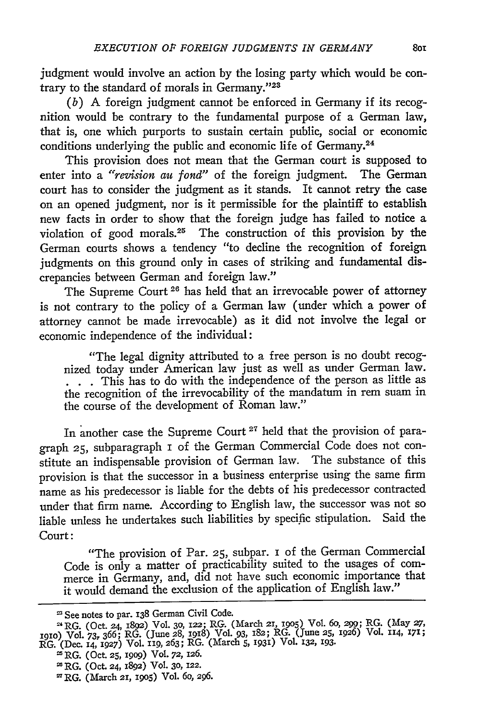judgment would involve an action by the losing party which would be contrary to the standard of morals in Germany."23

*(b)* **A** foreign judgment cannot be enforced in Germany if its recognition would be contrary to the fundamental purpose of a German law, that is, one which purports to sustain certain public, social or economic conditions underlying the public and economic life of Germany.<sup>24</sup>

This provision does not mean that the German court is supposed to enter into a "revision au *fond"* of the foreign judgment. The German court has to consider the judgment as it stands. It cannot retry the case on an opened judgment, nor is it permissible for the plaintiff to establish new facts in order to show that the foreign judge has failed to notice a violation of good morals.25 The construction of this provision by the German courts shows a tendency "to decline the recognition of foreign judgments on this ground only in cases of striking and fundamental discrepancies between German and foreign law."

The Supreme Court<sup>26</sup> has held that an irrevocable power of attorney is not contrary to the policy of a German law (under which a power of attorney cannot be made irrevocable) as it did not involve the legal or economic independence of the individual:

"The legal dignity attributed to a free person is no doubt recognized today under American law just as well as under German law. **.** This has to do with the independence of the person as little as the recognition of the irrevocability of the mandatum in rem suam in the course of the development of Roman law."

In another case the Supreme Court **21** held that the provision of paragraph **25,** subparagraph i of the German Commercial Code does not constitute an indispensable provision of German law. The substance of this provision is that the successor in a business enterprise using the same firm name as his predecessor is liable for the debts of his predecessor contracted under that firm name. According to English law, the successor was not so liable unless he undertakes such liabilities by specific stipulation. Said the Court:

"The provision of Par. **25,** subpar. **i** of the German Commercial Code is only a matter of practicability suited to the usages of commerce in Germany, and, did not have such economic importance that it would demand the exclusion of the application of English law."

**<sup>&#</sup>x27;** See notes to par. **138** German Civil Code.

<sup>2</sup> RG. (Oct. 24, **1892)** Vol. **30,** 122; RG. (March 21, **19o5)** Vol. *6o,* **\_9W;** RG. (May *27,* i91o) Vol. *73,* 366; RG. (June 28, 1918) Vol. 93, 182; RG. (June **25,** 1926) Vol. 114, **171;** RG. (Dec. **14, 1927)** Vol. 119, **263;** RG. (March **5, 1931)** Vol. 132, **193.**

RG. (Oct. **25, 19o9)** Vol. **72,** 126.

RG. (Oct. 24, **1892)** Vol. **30, 122.**

SRG. (March 21, **J905)** Vol. *6O,* **296.**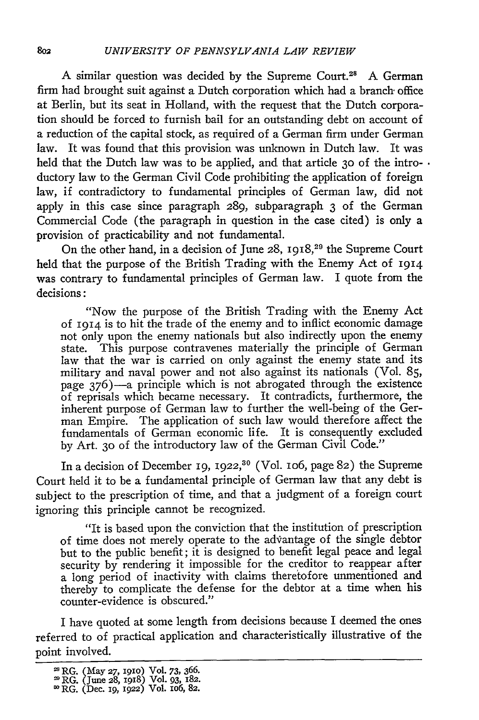**A** similar question was decided by the Supreme Court.2' **A** German firm had brought suit against a Dutch corporation which had a branch office at Berlin, but its seat in Holland, with the request that the Dutch corporation should be forced to furnish bail for an outstanding debt on account of a reduction of the capital stock, as required of a German firm under German law. It was found that this provision was unknown in Dutch law. It was held that the Dutch law was to be applied, and that article **30** of the intro- • ductory law to the German Civil Code prohibiting the application of foreign law, if contradictory to fundamental principles of German law, did not apply in this case since paragraph 289, subparagraph 3 of the German Commercial Code (the paragraph in question in the case cited) is only a provision of practicability and not fundamental.

On the other hand, in a decision of June **28, I918,29** the Supreme Court held that the purpose of the British Trading with the Enemy Act of 1914 was contrary to fundamental principles of German law. I quote from the decisions:

"Now the purpose of the British Trading with the Enemy Act of **1914** is to hit the trade of the enemy and to inflict economic damage not only upon the enemy nationals but also indirectly upon the enemy state. This purpose contravenes materially the principle of German law that the war is carried on only against the enemy state and its military and naval power and not also against its nationals (Vol. 85, page  $376$ )—a principle which is not abrogated through the existence of reprisals which became necessary. It contradicts, furthermore, the inherent purpose of German law to further the well-being of the German Empire. The application of such law would therefore affect the fundamentals of German economic life. It is consequently excluded by Art. **30** of the introductory law of the German Civil Code."

In a decision of December **19, 1922,30** (Vol. io6, page 82) the Supreme Court held it to be a fundamental principle of German law that any debt is subject to the prescription of time, and that a judgment of a foreign court ignoring this principle cannot be recognized.

"It is based upon the conviction that the institution of prescription of time does not merely operate to the advantage of the single debtor but to the public benefit; it is designed to benefit legal peace and legal security by rendering it impossible for the creditor to reappear after a long period of inactivity with claims theretofore unmentioned and thereby to complicate the defense for the debtor at a time when his counter-evidence is obscured."

I have quoted at some length from decisions because I deemed the ones referred to of practical application and characteristically illustrative of the point involved.

RG. (May **27, i9iO)** Vol. **73, 366.** RG. (June **28, I98)** Vol. **93, 182.**

**<sup>80</sup> RG.** (Dec. *ig,* 1922) **Vol. IO6,** 82.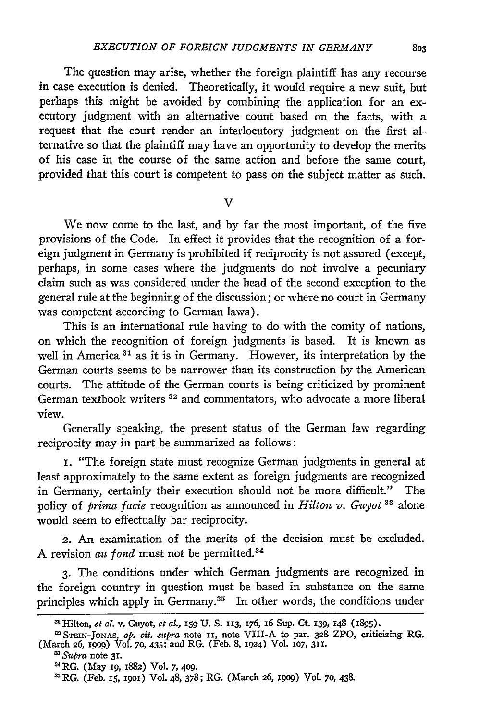The question may arise, whether the foreign plaintiff has any recourse in case execution is denied. Theoretically, it would require a new suit, but perhaps this might be avoided by combining the application for an executory judgment with an alternative count based on the facts, with a request that the court render an interlocutory judgment on the first alternative so that the plaintiff may have an opportunity to develop the merits of his case in the course of the same action and before the same court, provided that this court is competent to pass on the subject matter as such.

#### $\overline{\mathsf{V}}$

We now come to the last, and by far the most important, of the five provisions of the Code. In effect it provides that the recognition of a foreign judgment in Germany is prohibited if reciprocity is not assured (except, perhaps, in some cases where the judgments do not involve a pecuniary claim such as was considered under the head of the second exception to the general rule at the beginning of the discussion; or where no court in Germany was competent according to German laws).

This is an international rule having to do with the comity of nations, on which the recognition of foreign judgments is based. It is known as well in America **3'** as it is in Germany. However, its interpretation **by** the German courts seems to be narrower than its construction **by** the American courts. The attitude of the German courts is being criticized **by** prominent German textbook writers **32** and commentators, who advocate a more liberal view.

Generally speaking, the present status of the German law regarding reciprocity may in part be summarized as follows:

*i.* "The foreign state must recognize German judgments in general at least approximately to the same extent as foreign judgments are recognized in Germany, certainly their execution should not be more difficult." The policy of *prima facie* recognition as announced in *Hilton v. Guyot 33* alone would seem to effectually bar reciprocity.

2. An examination of the merits of the decision must be excluded. A revision au fond must not be permitted.<sup>34</sup>

**3.** The conditions under which German judgments are recognized in the foreign country in question must be based in substance on the same principles which apply in Germany.<sup>35</sup> In other words, the conditions under

<sup>&</sup>lt;sup>at</sup> Hilton, et al. v. Guyot, et al., 159 U. S. 113, 176, 16 Sup. Ct. 139, 148 (1895).

**STEIN-JONAS,** *op.* cit. *stpra* note **II,** note VIII-A to par. **328** ZPO, criticizing RG. (March 26, *19o9)* Vol. **70,** 435; and RG. (Feb. 8, 1924) Vol. **107,** 311.

*<sup>&#</sup>x27;Supra* note **31.**

<sup>&#</sup>x27;4RG. (May *19,* 1882) Vol. 7, **409.**

m RG. (Feb. **15,** 19O1) Vol. 48, 378; RG. (March **26,** igog) Vol. **70,** 438.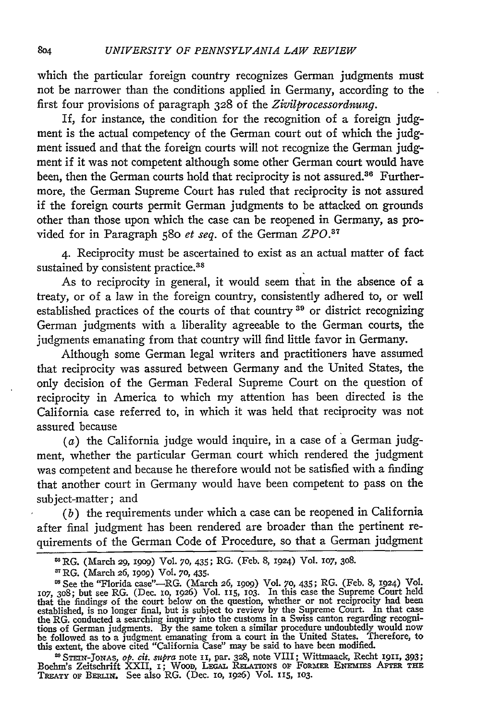which the particular foreign country recognizes German judgments must not be narrower than the conditions applied in Germany, according to the first four provisions of paragraph 328 of the *Zivilprocessordnung.*

If, for instance, the condition for the recognition of a foreign judgment is the actual competency of the German court out of which the judgment issued and that the foreign courts will not recognize the German judgment if it was not competent although some other German court would have been, then the German courts hold that reciprocity is not assured.<sup>36</sup> Furthermore, the German Supreme Court has ruled that reciprocity is not assured if the foreign courts permit German judgments to be attacked on grounds other than those upon which the case can be reopened in Germany, as provided for in Paragraph 580 *et seq.* of the German *ZPO.3 <sup>7</sup>*

4. Reciprocity must be ascertained to exist as an actual matter of fact sustained by consistent practice.<sup>38</sup>

As to reciprocity in general, it would seem that in the absence of a treaty, or of a law in the foreign country, consistently adhered to, or well established practices of the courts of that country **39** or district recognizing German judgments with a liberality agreeable to the German courts, the judgments emanating from that country will find little favor in Germany.

Although some German legal writers and practitioners have assumed that reciprocity was assured between Germany and the United States, the only decision of the German Federal Supreme Court on the question of reciprocity in America to which my attention has been directed is the California case referred to, in which it was held that reciprocity was not assured because

 $(a)$  the California judge would inquire, in a case of a German judgment, whether the particular German court which rendered the judgment was competent and because he therefore would not be satisfied with a finding that another court in Germany would have been competent to pass on the subject-matter; and

*(b)* the requirements under which a case can be reopened in California after final judgment has been rendered are broader than the pertinent requirements of the German Code of Procedure, so that a German judgment

<sup>33</sup> STEIN-JONAS, op. cit. supra note II, par. 328, note VIII; Wittmaack, Recht 1911, 393;<br>Boehm's Zeitschrift XXII, I; Woon, LEGAL RELATIONS OF FORMER ENEMIES AFTER THE<br>TREATY OF BERLIN. See also RG. (Dec. 10, 1926) Vol.

RG. (March 29, 1909) Vol. **70,** 435; RG. (Feb. 8, 1924) Vol. 1O7, 308.

RG. (March 26, io9) Vol. **70,** 435.

<sup>&</sup>lt;sup>88</sup> See the "Florida case"—RG. (March 26, 1909) Vol. 70, 435; RG. (Feb. 8, 1924) Vol. **107**, 308; but see RG. (Dec. 10, 1926) Vol. 115, 103. In this case the Supreme Court held that the findings of the court below on the question, whether or not reciprocity had been established, is no longer final, but is subject to review by the Supreme Court. In that case the RG. conducted a searching inquiry into the customs in a Swiss canton regarding recognitions of German judgments. By the same token a similar procedure undoubtedly would now<br>be followed as to a judgment emanating from a court in the United States. Therefore, to<br>this extent, the above cited "California Case"